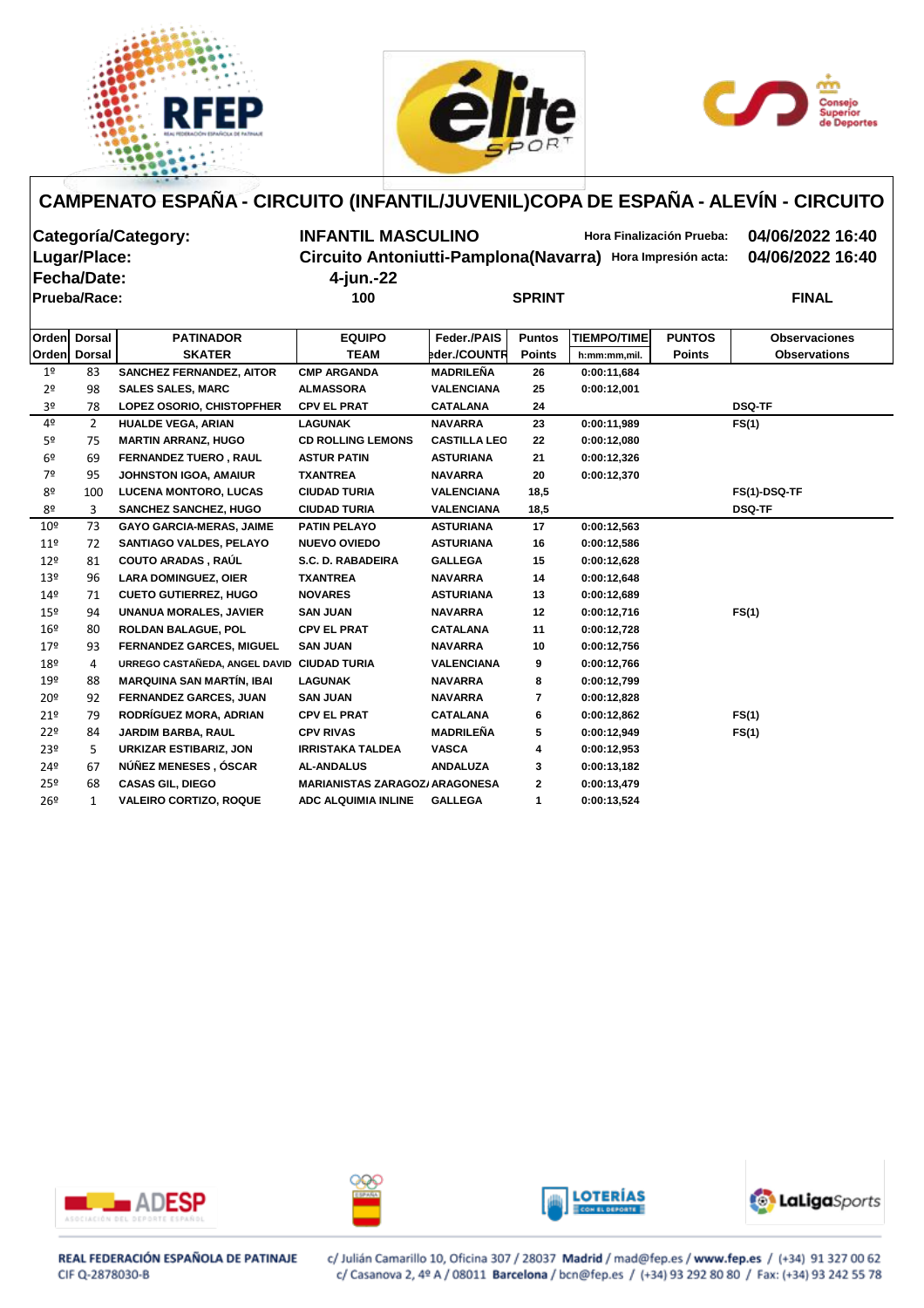





# **Fecha/Date: 4-jun.-22**

**Categoría/Category: INFANTIL MASCULINO Hora Finalización Prueba: 04/06/2022 16:40 Lugar/Place: Circuito Antoniutti-Pamplona(Navarra) Hora Impresión acta: 04/06/2022 16:40**

| Prueba/Race:         |                       |                                                              | 100                                    | <b>SPRINT</b>                        |               |                    |               | <b>FINAL</b>         |  |  |
|----------------------|-----------------------|--------------------------------------------------------------|----------------------------------------|--------------------------------------|---------------|--------------------|---------------|----------------------|--|--|
| Orden                | <b>Dorsal</b>         | <b>PATINADOR</b>                                             | <b>EQUIPO</b>                          | Feder./PAIS                          | <b>Puntos</b> | <b>TIEMPO/TIME</b> | <b>PUNTOS</b> | <b>Observaciones</b> |  |  |
|                      | Orden Dorsal          | <b>SKATER</b>                                                | <b>TEAM</b>                            | eder./COUNTR                         | <b>Points</b> | h:mm:mm,mil.       | <b>Points</b> | <b>Observations</b>  |  |  |
|                      |                       |                                                              |                                        |                                      |               |                    |               |                      |  |  |
| 1 <sup>°</sup>       | 83                    | <b>SANCHEZ FERNANDEZ, AITOR</b>                              | <b>CMP ARGANDA</b>                     | <b>MADRILEÑA</b>                     | 26            | 0:00:11,684        |               |                      |  |  |
| 2 <sup>o</sup><br>3º | 98<br>78              | <b>SALES SALES, MARC</b><br><b>LOPEZ OSORIO, CHISTOPFHER</b> | <b>ALMASSORA</b><br><b>CPV EL PRAT</b> | <b>VALENCIANA</b><br><b>CATALANA</b> | 25<br>24      | 0:00:12,001        |               | <b>DSQ-TF</b>        |  |  |
| 4º                   | $\mathbf{2}^{\prime}$ | <b>HUALDE VEGA, ARIAN</b>                                    | <b>LAGUNAK</b>                         | <b>NAVARRA</b>                       | 23            |                    |               |                      |  |  |
|                      |                       |                                                              | <b>CD ROLLING LEMONS</b>               | <b>CASTILLA LEO</b>                  | 22            | 0:00:11,989        |               | FS(1)                |  |  |
| 5º                   | 75                    | <b>MARTIN ARRANZ, HUGO</b>                                   |                                        |                                      |               | 0:00:12,080        |               |                      |  |  |
| 6 <sup>o</sup>       | 69                    | <b>FERNANDEZ TUERO, RAUL</b>                                 | <b>ASTUR PATIN</b>                     | <b>ASTURIANA</b>                     | 21            | 0:00:12,326        |               |                      |  |  |
| 7º                   | 95                    | <b>JOHNSTON IGOA, AMAIUR</b>                                 | <b>TXANTREA</b>                        | <b>NAVARRA</b>                       | 20            | 0:00:12,370        |               |                      |  |  |
| 8º                   | 100                   | <b>LUCENA MONTORO, LUCAS</b>                                 | <b>CIUDAD TURIA</b>                    | <b>VALENCIANA</b>                    | 18,5          |                    |               | FS(1)-DSQ-TF         |  |  |
| 8º                   | 3                     | <b>SANCHEZ SANCHEZ, HUGO</b>                                 | <b>CIUDAD TURIA</b>                    | <b>VALENCIANA</b>                    | 18,5          |                    |               | <b>DSQ-TF</b>        |  |  |
| 10 <sup>°</sup>      | 73                    | <b>GAYO GARCIA-MERAS, JAIME</b>                              | <b>PATIN PELAYO</b>                    | <b>ASTURIANA</b>                     | 17            | 0:00:12,563        |               |                      |  |  |
| $11^{\circ}$         | 72                    | <b>SANTIAGO VALDES, PELAYO</b>                               | <b>NUEVO OVIEDO</b>                    | <b>ASTURIANA</b>                     | 16            | 0:00:12,586        |               |                      |  |  |
| $12^{\circ}$         | 81                    | <b>COUTO ARADAS, RAÚL</b>                                    | S.C. D. RABADEIRA                      | <b>GALLEGA</b>                       | 15            | 0:00:12,628        |               |                      |  |  |
| $13^{\circ}$         | 96                    | <b>LARA DOMINGUEZ, OIER</b>                                  | <b>TXANTREA</b>                        | <b>NAVARRA</b>                       | 14            | 0:00:12,648        |               |                      |  |  |
| 14 <sup>°</sup>      | 71                    | <b>CUETO GUTIERREZ, HUGO</b>                                 | <b>NOVARES</b>                         | <b>ASTURIANA</b>                     | 13            | 0:00:12,689        |               |                      |  |  |
| $15^{\circ}$         | 94                    | <b>UNANUA MORALES, JAVIER</b>                                | <b>SAN JUAN</b>                        | <b>NAVARRA</b>                       | 12            | 0:00:12,716        |               | FS(1)                |  |  |
| 16 <sup>°</sup>      | 80                    | <b>ROLDAN BALAGUE, POL</b>                                   | <b>CPV EL PRAT</b>                     | <b>CATALANA</b>                      | 11            | 0:00:12,728        |               |                      |  |  |
| 179                  | 93                    | <b>FERNANDEZ GARCES, MIGUEL</b>                              | <b>SAN JUAN</b>                        | <b>NAVARRA</b>                       | 10            | 0:00:12,756        |               |                      |  |  |
| 18 <sup>°</sup>      | 4                     | URREGO CASTAÑEDA, ANGEL DAVID                                | <b>CIUDAD TURIA</b>                    | <b>VALENCIANA</b>                    | 9             | 0:00:12,766        |               |                      |  |  |
| 19º                  | 88                    | <b>MARQUINA SAN MARTÍN, IBAI</b>                             | <b>LAGUNAK</b>                         | <b>NAVARRA</b>                       | 8             | 0:00:12,799        |               |                      |  |  |
| $20^{\circ}$         | 92                    | FERNANDEZ GARCES, JUAN                                       | <b>SAN JUAN</b>                        | <b>NAVARRA</b>                       | $\mathbf{7}$  | 0:00:12,828        |               |                      |  |  |
| 21°                  | 79                    | RODRÍGUEZ MORA, ADRIAN                                       | <b>CPV EL PRAT</b>                     | <b>CATALANA</b>                      | 6             | 0:00:12,862        |               | FS(1)                |  |  |
| 22 <sup>°</sup>      | 84                    | JARDIM BARBA, RAUL                                           | <b>CPV RIVAS</b>                       | <b>MADRILEÑA</b>                     | 5             | 0:00:12,949        |               | FS(1)                |  |  |
| 23 <sup>°</sup>      | 5                     | <b>URKIZAR ESTIBARIZ, JON</b>                                | <b>IRRISTAKA TALDEA</b>                | <b>VASCA</b>                         | 4             | 0:00:12,953        |               |                      |  |  |
| 24º                  | 67                    | NÚÑEZ MENESES, ÓSCAR                                         | <b>AL-ANDALUS</b>                      | <b>ANDALUZA</b>                      | 3             | 0:00:13,182        |               |                      |  |  |
| 25º                  | 68                    | <b>CASAS GIL, DIEGO</b>                                      | <b>MARIANISTAS ZARAGOZ/ ARAGONESA</b>  |                                      | $\mathbf{2}$  | 0:00:13,479        |               |                      |  |  |





26º 1 **VALEIRO CORTIZO, ROQUE ADC ALQUIMIA INLINE GALLEGA 1 0:00:13,524**





REAL FEDERACIÓN ESPAÑOLA DE PATINAJE CIF Q-2878030-B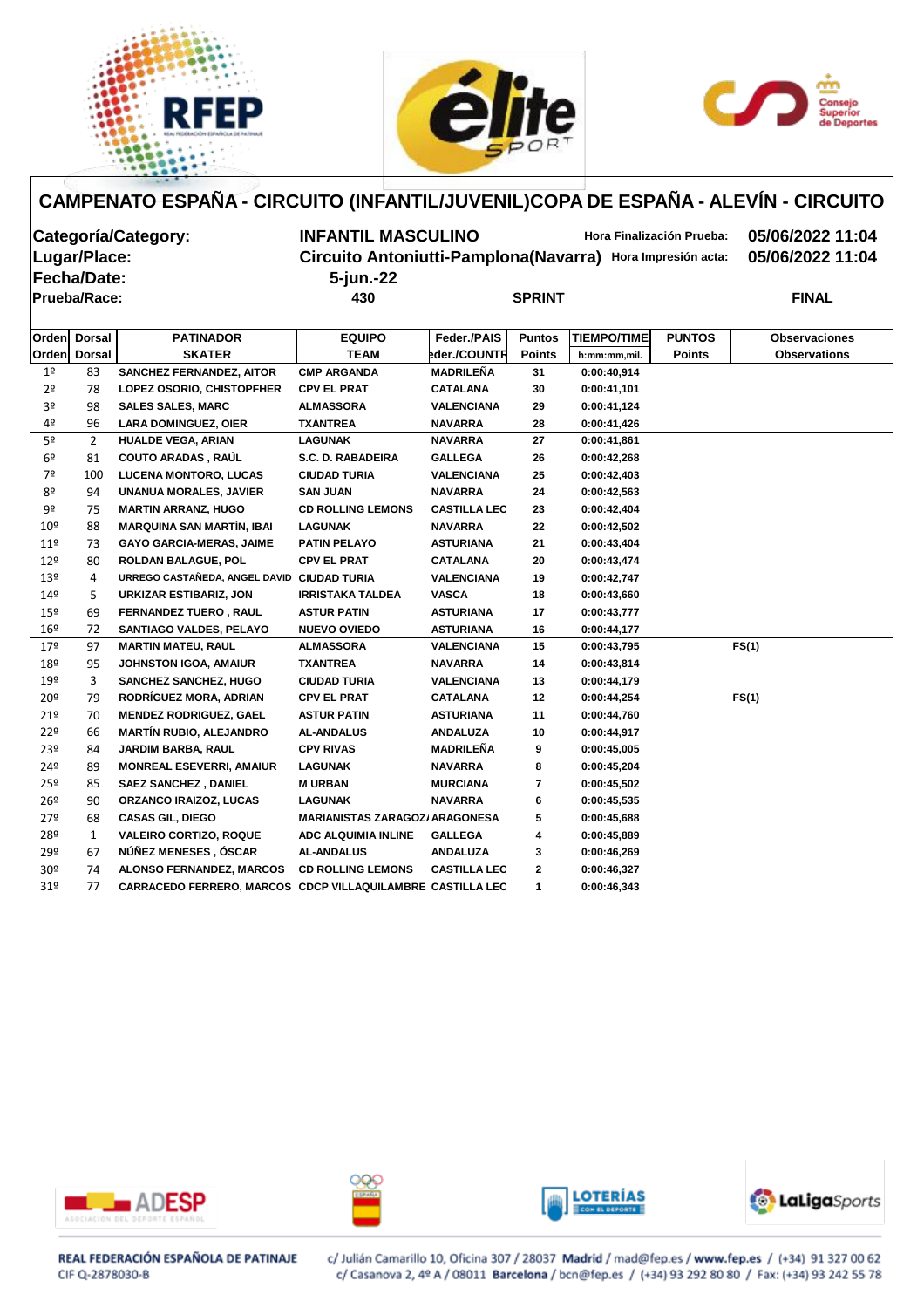





| Categoría/Category:<br>Lugar/Place:<br><b> Fecha/Date:</b> |                     |                                 | <b>INFANTIL MASCULINO</b><br>Circuito Antoniutti-Pamplona (Navarra)<br>5-jun.-22 | 05/06/2022 11:04<br>05/06/2022 11:04 |               |                    |               |                      |
|------------------------------------------------------------|---------------------|---------------------------------|----------------------------------------------------------------------------------|--------------------------------------|---------------|--------------------|---------------|----------------------|
|                                                            | <b>Prueba/Race:</b> |                                 | 430                                                                              |                                      | <b>SPRINT</b> |                    |               | <b>FINAL</b>         |
|                                                            |                     |                                 |                                                                                  |                                      |               |                    |               |                      |
| <b>Orden</b>                                               | <b>Dorsal</b>       | <b>PATINADOR</b>                | <b>EQUIPO</b>                                                                    | Feder / PAIS                         | <b>Puntos</b> | <b>TIEMPO/TIME</b> | <b>PUNTOS</b> | <b>Observaciones</b> |
| <b>Orden</b>                                               | Dorsal              | <b>SKATER</b>                   | TEAM                                                                             | bder./COUNTR                         | <b>Points</b> | h:mm:mm,mil.       | <b>Points</b> | <b>Observations</b>  |
| 1 <sup>°</sup>                                             | 83                  | <b>SANCHEZ FERNANDEZ, AITOR</b> | <b>CMP ARGANDA</b>                                                               | <b>MADRILEÑA</b>                     | 31            | 0:00:40.914        |               |                      |
| 2 <sup>o</sup>                                             | 78                  | LOPEZ OSORIO, CHISTOPFHER       | <b>CPV EL PRAT</b>                                                               | <b>CATALANA</b>                      | 30            | 0:00:41,101        |               |                      |
| 3 <sup>o</sup>                                             | 98                  | <b>SALES SALES, MARC</b>        | <b>ALMASSORA</b>                                                                 | <b>VALENCIANA</b>                    | 29            | 0:00:41,124        |               |                      |
| 4 <sup>o</sup>                                             | 96                  | <b>LARA DOMINGUEZ, OIER</b>     | TXANTREA                                                                         | <b>NAVARRA</b>                       | 28            | 0:00:41,426        |               |                      |
| 5º                                                         | $\overline{2}$      | <b>HUALDE VEGA, ARIAN</b>       | <b>LAGUNAK</b>                                                                   | <b>NAVARRA</b>                       | 27            | 0:00:41,861        |               |                      |
| CO.                                                        | 01                  | COUTO ARADAS RAIL               | SC D PARADEIPA                                                                   | <b>GALLEGA</b>                       | ንድ            | 0.00.42.28         |               |                      |

| 5º              | 2            | <b>HUALDE VEGA, ARIAN</b>                                         | <b>LAGUNAK</b>                        | <b>NAVARRA</b>      | 27           | 0:00:41,861 |       |
|-----------------|--------------|-------------------------------------------------------------------|---------------------------------------|---------------------|--------------|-------------|-------|
| 6º              | 81           | <b>COUTO ARADAS, RAÚL</b>                                         | S.C. D. RABADEIRA                     | <b>GALLEGA</b>      | 26           | 0:00:42,268 |       |
| 7º              | 100          | <b>LUCENA MONTORO, LUCAS</b>                                      | <b>CIUDAD TURIA</b>                   | <b>VALENCIANA</b>   | 25           | 0:00:42,403 |       |
| 8º              | 94           | <b>UNANUA MORALES, JAVIER</b>                                     | <b>SAN JUAN</b>                       | <b>NAVARRA</b>      | 24           | 0:00:42,563 |       |
| 9º              | 75           | <b>MARTIN ARRANZ, HUGO</b>                                        | <b>CD ROLLING LEMONS</b>              | <b>CASTILLA LEO</b> | 23           | 0:00:42,404 |       |
| 10 <sup>°</sup> | 88           | <b>MARQUINA SAN MARTÍN, IBAI</b>                                  | <b>LAGUNAK</b>                        | <b>NAVARRA</b>      | 22           | 0:00:42,502 |       |
| 11 <sup>°</sup> | 73           | <b>GAYO GARCIA-MERAS, JAIME</b>                                   | <b>PATIN PELAYO</b>                   | <b>ASTURIANA</b>    | 21           | 0:00:43,404 |       |
| 12 <sup>°</sup> | 80           | <b>ROLDAN BALAGUE, POL</b>                                        | <b>CPV EL PRAT</b>                    | <b>CATALANA</b>     | 20           | 0:00:43,474 |       |
| 13 <sup>°</sup> | 4            | URREGO CASTAÑEDA, ANGEL DAVID CIUDAD TURIA                        |                                       | <b>VALENCIANA</b>   | 19           | 0:00:42,747 |       |
| 149             | 5            | URKIZAR ESTIBARIZ, JON                                            | <b>IRRISTAKA TALDEA</b>               | <b>VASCA</b>        | 18           | 0:00:43,660 |       |
| 15º             | 69           | <b>FERNANDEZ TUERO, RAUL</b>                                      | <b>ASTUR PATIN</b>                    | <b>ASTURIANA</b>    | 17           | 0:00:43,777 |       |
| $16^{\circ}$    | 72           | <b>SANTIAGO VALDES, PELAYO</b>                                    | <b>NUEVO OVIEDO</b>                   | <b>ASTURIANA</b>    | 16           | 0:00:44,177 |       |
| 179             | 97           | <b>MARTIN MATEU, RAUL</b>                                         | <b>ALMASSORA</b>                      | <b>VALENCIANA</b>   | 15           | 0:00:43,795 | FS(1) |
| 18 <sup>°</sup> | 95           | <b>JOHNSTON IGOA, AMAIUR</b>                                      | <b>TXANTREA</b>                       | <b>NAVARRA</b>      | 14           | 0:00:43,814 |       |
| 19º             | 3            | <b>SANCHEZ SANCHEZ, HUGO</b>                                      | <b>CIUDAD TURIA</b>                   | <b>VALENCIANA</b>   | 13           | 0:00:44,179 |       |
| 20º             | 79           | RODRÍGUEZ MORA, ADRIAN                                            | <b>CPV EL PRAT</b>                    | <b>CATALANA</b>     | 12           | 0:00:44,254 | FS(1) |
| 21 <sup>°</sup> | 70           | <b>MENDEZ RODRIGUEZ, GAEL</b>                                     | <b>ASTUR PATIN</b>                    | <b>ASTURIANA</b>    | 11           | 0:00:44,760 |       |
| 22 <sup>°</sup> | 66           | <b>MARTÍN RUBIO, ALEJANDRO</b>                                    | <b>AL-ANDALUS</b>                     | <b>ANDALUZA</b>     | 10           | 0:00:44,917 |       |
| 23 <sup>°</sup> | 84           | <b>JARDIM BARBA, RAUL</b>                                         | <b>CPV RIVAS</b>                      | MADRILEÑA           | 9            | 0:00:45.005 |       |
| 24º             | 89           | <b>MONREAL ESEVERRI, AMAIUR</b>                                   | <b>LAGUNAK</b>                        | <b>NAVARRA</b>      | 8            | 0:00:45,204 |       |
| 25º             | 85           | <b>SAEZ SANCHEZ, DANIEL</b>                                       | <b>M URBAN</b>                        | <b>MURCIANA</b>     | $\mathbf{7}$ | 0:00:45,502 |       |
| 26º             | 90           | <b>ORZANCO IRAIZOZ, LUCAS</b>                                     | <b>LAGUNAK</b>                        | <b>NAVARRA</b>      | 6            | 0:00:45,535 |       |
| 27 <sup>°</sup> | 68           | <b>CASAS GIL, DIEGO</b>                                           | <b>MARIANISTAS ZARAGOZ/ ARAGONESA</b> |                     | 5            | 0:00:45,688 |       |
| 28º             | $\mathbf{1}$ | <b>VALEIRO CORTIZO, ROQUE</b>                                     | ADC ALQUIMIA INLINE                   | <b>GALLEGA</b>      | 4            | 0:00:45.889 |       |
| 29º             | 67           | NÚÑEZ MENESES, ÓSCAR                                              | <b>AL-ANDALUS</b>                     | <b>ANDALUZA</b>     | 3            | 0:00:46.269 |       |
| 30 <sup>°</sup> | 74           | <b>ALONSO FERNANDEZ, MARCOS</b>                                   | <b>CD ROLLING LEMONS</b>              | <b>CASTILLA LEO</b> | $\mathbf{2}$ | 0:00:46,327 |       |
| 31 <sup>°</sup> | 77           | <b>CARRACEDO FERRERO, MARCOS CDCP VILLAQUILAMBRE CASTILLA LEO</b> |                                       |                     | 1            | 0:00:46,343 |       |
|                 |              |                                                                   |                                       |                     |              |             |       |









REAL FEDERACIÓN ESPAÑOLA DE PATINAJE CIF Q-2878030-B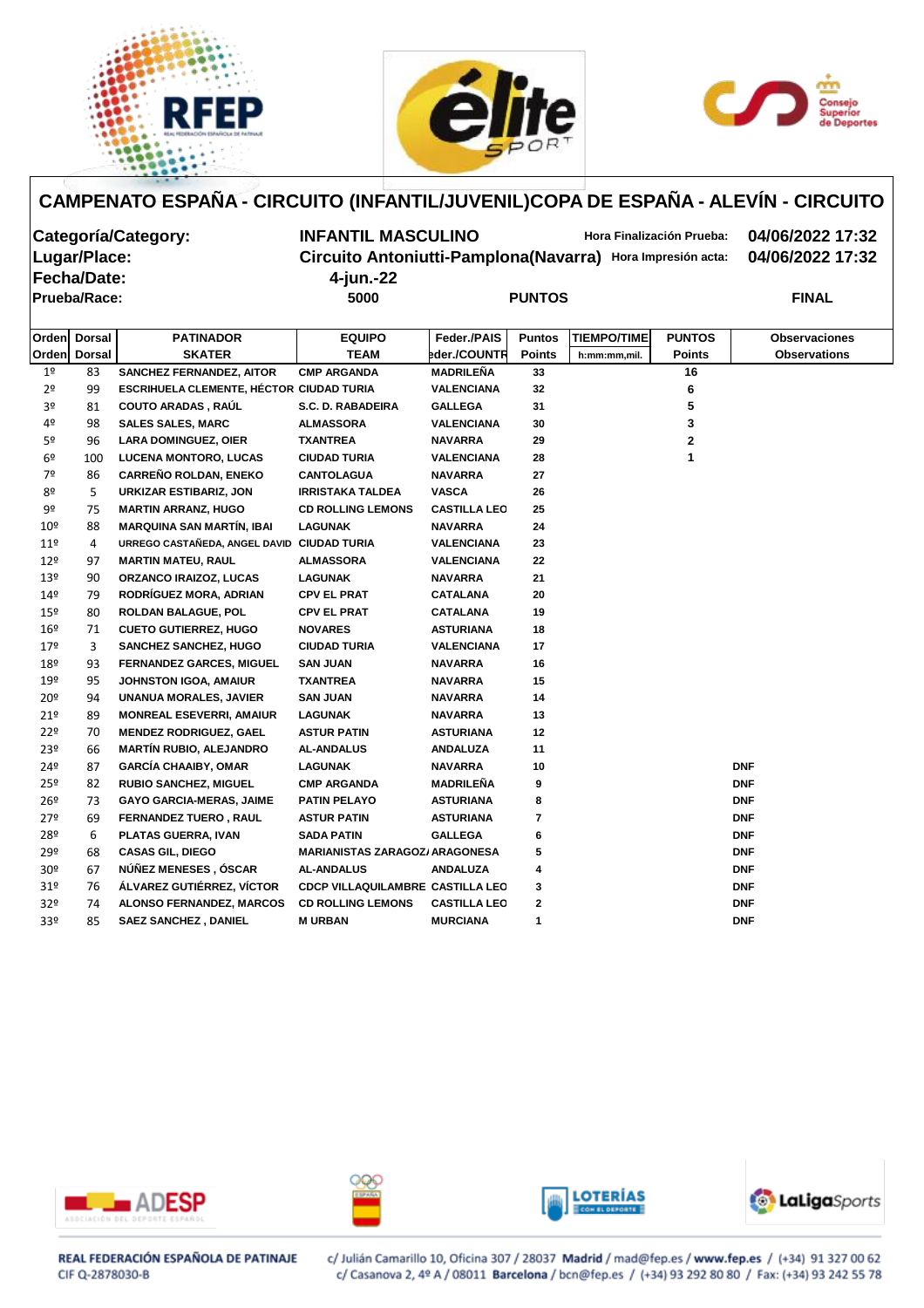





**Fecha/Date: 4-jun.-22 Prueba/Race:** 5000

**Categoría/Category: INFANTIL MASCULINO Hora Finalización Prueba: 04/06/2022 17:32 Lugar/Place: Circuito Antoniutti-Pamplona(Navarra) Hora Impresión acta: 04/06/2022 17:32**

| <b>PUNTOS</b> |  |
|---------------|--|

| <b>Orden</b>    | <b>Dorsal</b>  | <b>PATINADOR</b>                           | <b>EQUIPO</b>                         | Feder./PAIS         | <b>Puntos</b>    | <b>TIEMPO/TIME</b> | <b>PUNTOS</b> | <b>Observaciones</b> |
|-----------------|----------------|--------------------------------------------|---------------------------------------|---------------------|------------------|--------------------|---------------|----------------------|
| Orden           | <b>Dorsal</b>  | <b>SKATER</b>                              | <b>TEAM</b>                           | eder./COUNTR        | <b>Points</b>    | h:mm:mm,mil.       | Points        | <b>Observations</b>  |
| 1 <sup>o</sup>  | 83             | <b>SANCHEZ FERNANDEZ, AITOR</b>            | <b>CMP ARGANDA</b>                    | <b>MADRILEÑA</b>    | 33               |                    | 16            |                      |
| 2 <sup>o</sup>  | 99             | ESCRIHUELA CLEMENTE, HÉCTOR CIUDAD TURIA   |                                       | VALENCIANA          | 32               |                    | 6             |                      |
| 3º              | 81             | <b>COUTO ARADAS, RAÚL</b>                  | S.C. D. RABADEIRA                     | <b>GALLEGA</b>      | 31               |                    | 5             |                      |
| 4º              | 98             | <b>SALES SALES, MARC</b>                   | <b>ALMASSORA</b>                      | <b>VALENCIANA</b>   | 30               |                    | 3             |                      |
| 5º              | 96             | <b>LARA DOMINGUEZ, OIER</b>                | <b>TXANTREA</b>                       | <b>NAVARRA</b>      | 29               |                    | $\mathbf{2}$  |                      |
| 6 <sup>o</sup>  | 100            | <b>LUCENA MONTORO, LUCAS</b>               | <b>CIUDAD TURIA</b>                   | <b>VALENCIANA</b>   | 28               |                    | 1             |                      |
| 7º              | 86             | <b>CARREÑO ROLDAN, ENEKO</b>               | <b>CANTOLAGUA</b>                     | <b>NAVARRA</b>      | 27               |                    |               |                      |
| 8º              | 5              | <b>URKIZAR ESTIBARIZ, JON</b>              | <b>IRRISTAKA TALDEA</b>               | <b>VASCA</b>        | 26               |                    |               |                      |
| 9º              | 75             | <b>MARTIN ARRANZ, HUGO</b>                 | <b>CD ROLLING LEMONS</b>              | <b>CASTILLA LEO</b> | 25               |                    |               |                      |
| 10 <sup>°</sup> | 88             | <b>MARQUINA SAN MARTÍN, IBAI</b>           | LAGUNAK                               | <b>NAVARRA</b>      | 24               |                    |               |                      |
| 11 <sup>°</sup> | $\overline{4}$ | URREGO CASTAÑEDA, ANGEL DAVID CIUDAD TURIA |                                       | VALENCIANA          | 23               |                    |               |                      |
| 12 <sup>°</sup> | 97             | <b>MARTIN MATEU, RAUL</b>                  | <b>ALMASSORA</b>                      | <b>VALENCIANA</b>   | 22               |                    |               |                      |
| 13º             | 90             | <b>ORZANCO IRAIZOZ, LUCAS</b>              | <b>LAGUNAK</b>                        | <b>NAVARRA</b>      | 21               |                    |               |                      |
| 14º             | 79             | RODRÍGUEZ MORA, ADRIAN                     | <b>CPV EL PRAT</b>                    | CATALANA            | 20               |                    |               |                      |
| $15^{\circ}$    | 80             | ROLDAN BALAGUE, POL                        | <b>CPV EL PRAT</b>                    | <b>CATALANA</b>     | 19               |                    |               |                      |
| 16 <sup>°</sup> | 71             | <b>CUETO GUTIERREZ, HUGO</b>               | <b>NOVARES</b>                        | <b>ASTURIANA</b>    | 18               |                    |               |                      |
| $17^{\circ}$    | 3              | <b>SANCHEZ SANCHEZ, HUGO</b>               | <b>CIUDAD TURIA</b>                   | <b>VALENCIANA</b>   | 17               |                    |               |                      |
| 18º             | 93             | <b>FERNANDEZ GARCES, MIGUEL</b>            | <b>SAN JUAN</b>                       | <b>NAVARRA</b>      | 16               |                    |               |                      |
| 19º             | 95             | <b>JOHNSTON IGOA, AMAIUR</b>               | <b>TXANTREA</b>                       | <b>NAVARRA</b>      | 15               |                    |               |                      |
| 20 <sup>°</sup> | 94             | UNANUA MORALES, JAVIER                     | <b>SAN JUAN</b>                       | NAVARRA             | 14               |                    |               |                      |
| 21°             | 89             | <b>MONREAL ESEVERRI, AMAIUR</b>            | LAGUNAK                               | NAVARRA             | 13               |                    |               |                      |
| 22 <sup>°</sup> | 70             | <b>MENDEZ RODRIGUEZ, GAEL</b>              | <b>ASTUR PATIN</b>                    | <b>ASTURIANA</b>    | 12               |                    |               |                      |
| 23º             | 66             | <b>MARTÍN RUBIO, ALEJANDRO</b>             | <b>AL-ANDALUS</b>                     | <b>ANDALUZA</b>     | 11               |                    |               |                      |
| 24º             | 87             | <b>GARCÍA CHAAIBY, OMAR</b>                | LAGUNAK                               | <b>NAVARRA</b>      | 10               |                    |               | <b>DNF</b>           |
| 25º             | 82             | <b>RUBIO SANCHEZ, MIGUEL</b>               | <b>CMP ARGANDA</b>                    | <b>MADRILEÑA</b>    | 9                |                    |               | <b>DNF</b>           |
| 26 <sup>°</sup> | 73             | <b>GAYO GARCIA-MERAS, JAIME</b>            | PATIN PELAYO                          | <b>ASTURIANA</b>    | 8                |                    |               | <b>DNF</b>           |
| 279             | 69             | <b>FERNANDEZ TUERO, RAUL</b>               | <b>ASTUR PATIN</b>                    | <b>ASTURIANA</b>    | $\overline{7}$   |                    |               | <b>DNF</b>           |
| 28º             | 6              | PLATAS GUERRA, IVAN                        | SADA PATIN                            | <b>GALLEGA</b>      | 6                |                    |               | <b>DNF</b>           |
| 29º             | 68             | <b>CASAS GIL, DIEGO</b>                    | <b>MARIANISTAS ZARAGOZ/ ARAGONESA</b> |                     | 5                |                    |               | <b>DNF</b>           |
| 30 <sup>o</sup> | 67             | NÚÑEZ MENESES, ÓSCAR                       | <b>AL-ANDALUS</b>                     | <b>ANDALUZA</b>     | 4                |                    |               | <b>DNF</b>           |
| 31 <sup>o</sup> | 76             | ÁLVAREZ GUTIÉRREZ, VÍCTOR                  | CDCP VILLAQUILAMBRE CASTILLA LEO      |                     | 3                |                    |               | <b>DNF</b>           |
| 32 <sup>o</sup> | 74             | <b>ALONSO FERNANDEZ, MARCOS</b>            | <b>CD ROLLING LEMONS</b>              | <b>CASTILLA LEO</b> | $\boldsymbol{2}$ |                    |               | <b>DNF</b>           |
| 33º             | 85             | <b>SAEZ SANCHEZ, DANIEL</b>                | <b>M URBAN</b>                        | <b>MURCIANA</b>     | $\mathbf{1}$     |                    |               | <b>DNF</b>           |
|                 |                |                                            |                                       |                     |                  |                    |               |                      |









REAL FEDERACIÓN ESPAÑOLA DE PATINAJE CIF Q-2878030-B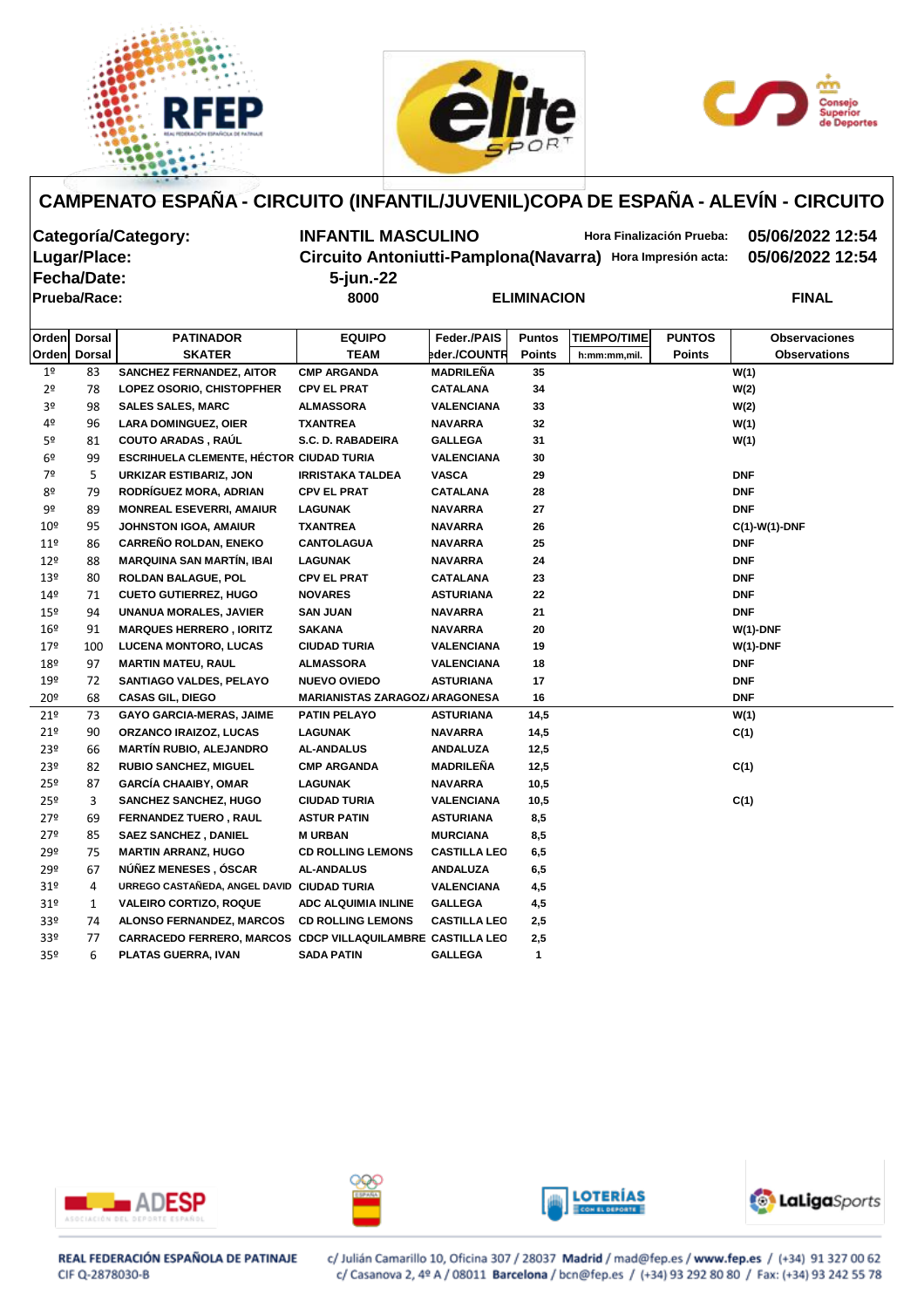





**Fecha/Date: 5-jun.-22 Prueba/Race: 8000 ELIMINACION FINAL**

**Categoría/Category: INFANTIL MASCULINO Hora Finalización Prueba: 05/06/2022 12:54 Lugar/Place: Circuito Antoniutti-Pamplona(Navarra) Hora Impresión acta: 05/06/2022 12:54**

| L |  |  |  |
|---|--|--|--|
|   |  |  |  |
|   |  |  |  |
|   |  |  |  |

|                 | Orden Dorsal | <b>PATINADOR</b>                                                  | <b>EQUIPO</b>                         | Feder./PAIS         | <b>Puntos</b> | <b>TIEMPO/TIME</b> | <b>PUNTOS</b> | <b>Observaciones</b> |  |
|-----------------|--------------|-------------------------------------------------------------------|---------------------------------------|---------------------|---------------|--------------------|---------------|----------------------|--|
|                 | Orden Dorsal | <b>SKATER</b>                                                     | <b>TEAM</b>                           | eder./COUNTR        | <b>Points</b> | h:mm:mm,mil.       | <b>Points</b> | <b>Observations</b>  |  |
| 1 <sup>°</sup>  | 83           | <b>SANCHEZ FERNANDEZ, AITOR</b>                                   | <b>CMP ARGANDA</b>                    | MADRILEÑA           | 35            |                    |               | W(1)                 |  |
| 2 <sup>o</sup>  | 78           | LOPEZ OSORIO, CHISTOPFHER                                         | <b>CPV EL PRAT</b>                    | <b>CATALANA</b>     | 34            |                    |               | W(2)                 |  |
| 3 <sup>o</sup>  | 98           | <b>SALES SALES, MARC</b>                                          | <b>ALMASSORA</b>                      | <b>VALENCIANA</b>   | 33            |                    |               | W(2)                 |  |
| 4º              | 96           | <b>LARA DOMINGUEZ, OIER</b>                                       | <b>TXANTREA</b>                       | <b>NAVARRA</b>      | 32            |                    |               | W(1)                 |  |
| 5º              | 81           | <b>COUTO ARADAS, RAÚL</b>                                         | <b>S.C. D. RABADEIRA</b>              | <b>GALLEGA</b>      | 31            |                    |               | W(1)                 |  |
| 6 <sup>°</sup>  | 99           | <b>ESCRIHUELA CLEMENTE, HÉCTOR CIUDAD TURIA</b>                   |                                       | <b>VALENCIANA</b>   | 30            |                    |               |                      |  |
| 7º              | 5            | <b>URKIZAR ESTIBARIZ, JON</b>                                     | <b>IRRISTAKA TALDEA</b>               | <b>VASCA</b>        | 29            |                    |               | <b>DNF</b>           |  |
| 8º              | 79           | RODRÍGUEZ MORA, ADRIAN                                            | <b>CPV EL PRAT</b>                    | <b>CATALANA</b>     | 28            |                    |               | <b>DNF</b>           |  |
| 9º              | 89           | <b>MONREAL ESEVERRI, AMAIUR</b>                                   | <b>LAGUNAK</b>                        | <b>NAVARRA</b>      | 27            |                    |               | <b>DNF</b>           |  |
| $10^{\circ}$    | 95           | <b>JOHNSTON IGOA, AMAIUR</b>                                      | <b>TXANTREA</b>                       | <b>NAVARRA</b>      | 26            |                    |               | $C(1)-W(1)-DNF$      |  |
| 11 <sup>°</sup> | 86           | CARREÑO ROLDAN, ENEKO                                             | <b>CANTOLAGUA</b>                     | <b>NAVARRA</b>      | 25            |                    |               | <b>DNF</b>           |  |
| $12^{\circ}$    | 88           | <b>MARQUINA SAN MARTÍN, IBAI</b>                                  | <b>LAGUNAK</b>                        | <b>NAVARRA</b>      | 24            |                    |               | <b>DNF</b>           |  |
| 13º             | 80           | <b>ROLDAN BALAGUE, POL</b>                                        | <b>CPV EL PRAT</b>                    | <b>CATALANA</b>     | 23            |                    |               | <b>DNF</b>           |  |
| 149             | 71           | <b>CUETO GUTIERREZ, HUGO</b>                                      | <b>NOVARES</b>                        | <b>ASTURIANA</b>    | 22            |                    |               | <b>DNF</b>           |  |
| 15 <sup>°</sup> | 94           | <b>UNANUA MORALES, JAVIER</b>                                     | <b>SAN JUAN</b>                       | <b>NAVARRA</b>      | 21            |                    |               | <b>DNF</b>           |  |
| 16 <sup>°</sup> | 91           | <b>MARQUES HERRERO, IORITZ</b>                                    | <b>SAKANA</b>                         | <b>NAVARRA</b>      | 20            |                    |               | $W(1)$ -DNF          |  |
| 179             | 100          | <b>LUCENA MONTORO, LUCAS</b>                                      | <b>CIUDAD TURIA</b>                   | <b>VALENCIANA</b>   | 19            |                    |               | $W(1)$ -DNF          |  |
| 18º             | 97           | <b>MARTIN MATEU, RAUL</b>                                         | <b>ALMASSORA</b>                      | <b>VALENCIANA</b>   | 18            |                    |               | <b>DNF</b>           |  |
| 19º             | 72           | <b>SANTIAGO VALDES, PELAYO</b>                                    | <b>NUEVO OVIEDO</b>                   | <b>ASTURIANA</b>    | 17            |                    |               | <b>DNF</b>           |  |
| $20^{\circ}$    | 68           | <b>CASAS GIL, DIEGO</b>                                           | <b>MARIANISTAS ZARAGOZ/ ARAGONESA</b> |                     | 16            |                    |               | <b>DNF</b>           |  |
| 21 <sup>°</sup> | 73           | <b>GAYO GARCIA-MERAS, JAIME</b>                                   | <b>PATIN PELAYO</b>                   | <b>ASTURIANA</b>    | 14,5          |                    |               | W(1)                 |  |
| 21°             | 90           | <b>ORZANCO IRAIZOZ, LUCAS</b>                                     | <b>LAGUNAK</b>                        | <b>NAVARRA</b>      | 14,5          |                    |               | C(1)                 |  |
| 23º             | 66           | <b>MARTÍN RUBIO, ALEJANDRO</b>                                    | <b>AL-ANDALUS</b>                     | <b>ANDALUZA</b>     | 12,5          |                    |               |                      |  |
| 23º             | 82           | <b>RUBIO SANCHEZ, MIGUEL</b>                                      | <b>CMP ARGANDA</b>                    | <b>MADRILEÑA</b>    | 12,5          |                    |               | C(1)                 |  |
| 25º             | 87           | <b>GARCÍA CHAAIBY, OMAR</b>                                       | <b>LAGUNAK</b>                        | <b>NAVARRA</b>      | 10,5          |                    |               |                      |  |
| 25º             | 3            | <b>SANCHEZ SANCHEZ, HUGO</b>                                      | <b>CIUDAD TURIA</b>                   | <b>VALENCIANA</b>   | 10,5          |                    |               | C(1)                 |  |
| 279             | 69           | <b>FERNANDEZ TUERO, RAUL</b>                                      | <b>ASTUR PATIN</b>                    | <b>ASTURIANA</b>    | 8,5           |                    |               |                      |  |
| 27 <sup>°</sup> | 85           | <b>SAEZ SANCHEZ, DANIEL</b>                                       | <b>MURBAN</b>                         | <b>MURCIANA</b>     | 8,5           |                    |               |                      |  |
| 29º             | 75           | <b>MARTIN ARRANZ, HUGO</b>                                        | <b>CD ROLLING LEMONS</b>              | <b>CASTILLA LEO</b> | 6,5           |                    |               |                      |  |
| 29º             | 67           | NÚÑEZ MENESES, ÓSCAR                                              | <b>AL-ANDALUS</b>                     | <b>ANDALUZA</b>     | 6,5           |                    |               |                      |  |
| 31 <sup>°</sup> | 4            | URREGO CASTAÑEDA, ANGEL DAVID                                     | <b>CIUDAD TURIA</b>                   | <b>VALENCIANA</b>   | 4,5           |                    |               |                      |  |
| 31 <sup>°</sup> | 1            | <b>VALEIRO CORTIZO, ROQUE</b>                                     | <b>ADC ALQUIMIA INLINE</b>            | <b>GALLEGA</b>      | 4,5           |                    |               |                      |  |
| 33º             | 74           | <b>ALONSO FERNANDEZ, MARCOS</b>                                   | <b>CD ROLLING LEMONS</b>              | <b>CASTILLA LEO</b> | 2,5           |                    |               |                      |  |
| 33 <sup>°</sup> | 77           | <b>CARRACEDO FERRERO, MARCOS CDCP VILLAQUILAMBRE CASTILLA LEO</b> |                                       |                     | 2,5           |                    |               |                      |  |
| 35 <sup>o</sup> | 6            | PLATAS GUERRA, IVAN                                               | <b>SADA PATIN</b>                     | <b>GALLEGA</b>      | $\mathbf{1}$  |                    |               |                      |  |









REAL FEDERACIÓN ESPAÑOLA DE PATINAJE CIF Q-2878030-B